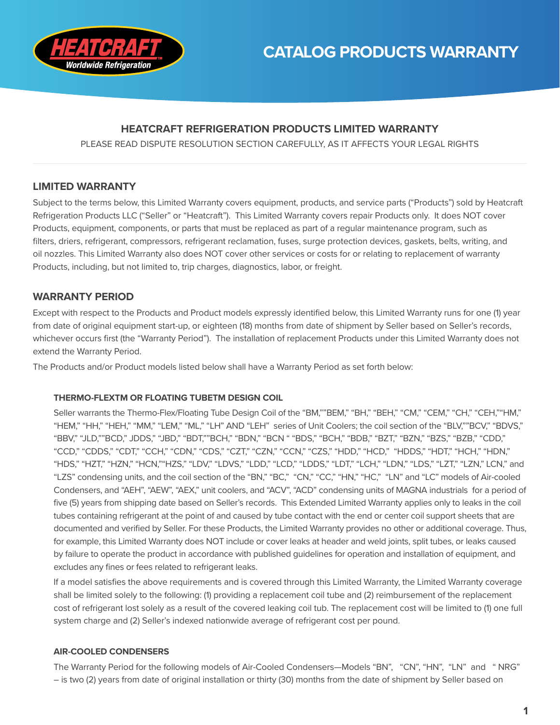

## **HEATCRAFT REFRIGERATION PRODUCTS LIMITED WARRANTY**

PLEASE READ DISPUTE RESOLUTION SECTION CAREFULLY, AS IT AFFECTS YOUR LEGAL RIGHTS

## **LIMITED WARRANTY**

Subject to the terms below, this Limited Warranty covers equipment, products, and service parts ("Products") sold by Heatcraft Refrigeration Products LLC ("Seller" or "Heatcraft"). This Limited Warranty covers repair Products only. It does NOT cover Products, equipment, components, or parts that must be replaced as part of a regular maintenance program, such as filters, driers, refrigerant, compressors, refrigerant reclamation, fuses, surge protection devices, gaskets, belts, writing, and oil nozzles. This Limited Warranty also does NOT cover other services or costs for or relating to replacement of warranty Products, including, but not limited to, trip charges, diagnostics, labor, or freight.

## **WARRANTY PERIOD**

Except with respect to the Products and Product models expressly identified below, this Limited Warranty runs for one (1) year from date of original equipment start-up, or eighteen (18) months from date of shipment by Seller based on Seller's records, whichever occurs first (the "Warranty Period"). The installation of replacement Products under this Limited Warranty does not extend the Warranty Period.

The Products and/or Product models listed below shall have a Warranty Period as set forth below:

### **THERMO-FLEXTM OR FLOATING TUBETM DESIGN COIL**

Seller warrants the Thermo-Flex/Floating Tube Design Coil of the "BM,""BEM," "BH," "BEH," "CM," "CEM," "CEH," "CHH," "HM," "HEM," "HH," "HEH," "MM," "LEM," "ML," "LH" AND "LEH" series of Unit Coolers; the coil section of the "BLV,""BCV," "BDVS," "BBV," "JLD,""BCD," JDDS," "JBD," "BDT,""BCH," "BDN," "BCN " "BDS," "BCH," "BDB," "BZT," "BZN," "BZS," "BZB," "CDD," "CCD," "CDDS," "CDT," "CCH," "CDN," "CDS," "CZT," "CZN," "CCN," "CZS," "HDD," "HCD," "HDDS," "HDT," "HCH," "HDN," "HDS," "HZT," "HZN," "HCN,""HZS," "LDV," "LDVS," "LDD," "LCD," "LDDS," "LDT," "LCH," "LDN," "LDS," "LZT," "LZN," LCN," and "LZS" condensing units, and the coil section of the "BN," "BC," "CN," "CC," "HN," "HC," "LN" and "LC" models of Air-cooled Condensers, and "AEH", "AEW", "AEX," unit coolers, and "ACV", "ACD" condensing units of MAGNA industrials for a period of five (5) years from shipping date based on Seller's records. This Extended Limited Warranty applies only to leaks in the coil tubes containing refrigerant at the point of and caused by tube contact with the end or center coil support sheets that are documented and verified by Seller. For these Products, the Limited Warranty provides no other or additional coverage. Thus, for example, this Limited Warranty does NOT include or cover leaks at header and weld joints, split tubes, or leaks caused by failure to operate the product in accordance with published guidelines for operation and installation of equipment, and excludes any fines or fees related to refrigerant leaks.

If a model satisfies the above requirements and is covered through this Limited Warranty, the Limited Warranty coverage shall be limited solely to the following: (1) providing a replacement coil tube and (2) reimbursement of the replacement cost of refrigerant lost solely as a result of the covered leaking coil tub. The replacement cost will be limited to (1) one full system charge and (2) Seller's indexed nationwide average of refrigerant cost per pound.

### **AIR-COOLED CONDENSERS**

The Warranty Period for the following models of Air-Cooled Condensers—Models "BN", "CN", "HN", "LN" and " NRG" – is two (2) years from date of original installation or thirty (30) months from the date of shipment by Seller based on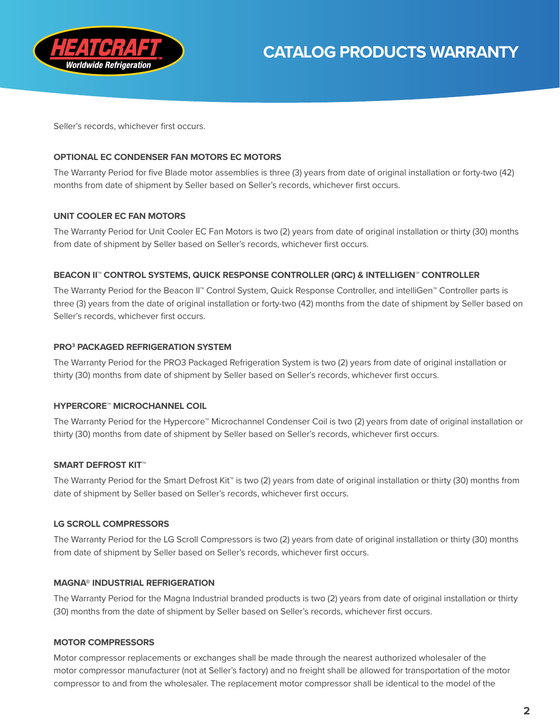

Seller's records, whichever first occurs.

### **OPTIONAL EC CONDENSER FAN MOTORS EC MOTORS**

The Warranty Period for five Blade motor assemblies is three (3) years from date of original installation or forty-two (42) months from date of shipment by Seller based on Seller's records, whichever first occurs.

#### **UNIT COOLER EC FAN MOTORS**

The Warranty Period for Unit Cooler EC Fan Motors is two (2) years from date of original installation or thirty (30) months from date of shipment by Seller based on Seller's records, whichever first occurs.

#### **BEACON II™ CONTROL SYSTEMS, QUICK RESPONSE CONTROLLER (QRC) & INTELLIGEN™ CONTROLLER**

The Warranty Period for the Beacon II™ Control System, Quick Response Controller, and intelliGen™ Controller parts is three (3) years from the date of original installation or forty-two (42) months from the date of shipment by Seller based on Seller's records, whichever first occurs.

### **PRO3 PACKAGED REFRIGERATION SYSTEM**

The Warranty Period for the PRO3 Packaged Refrigeration System is two (2) years from date of original installation or thirty (30) months from date of shipment by Seller based on Seller's records, whichever first occurs.

#### **HYPERCORE™ MICROCHANNEL COIL**

The Warranty Period for the Hypercore™ Microchannel Condenser Coil is two (2) years from date of original installation or thirty (30) months from date of shipment by Seller based on Seller's records, whichever first occurs.

#### **SMART DEFROST KIT™**

The Warranty Period for the Smart Defrost Kit™ is two (2) years from date of original installation or thirty (30) months from date of shipment by Seller based on Seller's records, whichever first occurs.

#### **LG SCROLL COMPRESSORS**

The Warranty Period for the LG Scroll Compressors is two (2) years from date of original installation or thirty (30) months from date of shipment by Seller based on Seller's records, whichever first occurs.

#### **MAGNA® INDUSTRIAL REFRIGERATION**

The Warranty Period for the Magna Industrial branded products is two (2) years from date of original installation or thirty (30) months from the date of shipment by Seller based on Seller's records, whichever first occurs.

#### **MOTOR COMPRESSORS**

Motor compressor replacements or exchanges shall be made through the nearest authorized wholesaler of the motor compressor manufacturer (not at Seller's factory) and no freight shall be allowed for transportation of the motor compressor to and from the wholesaler. The replacement motor compressor shall be identical to the model of the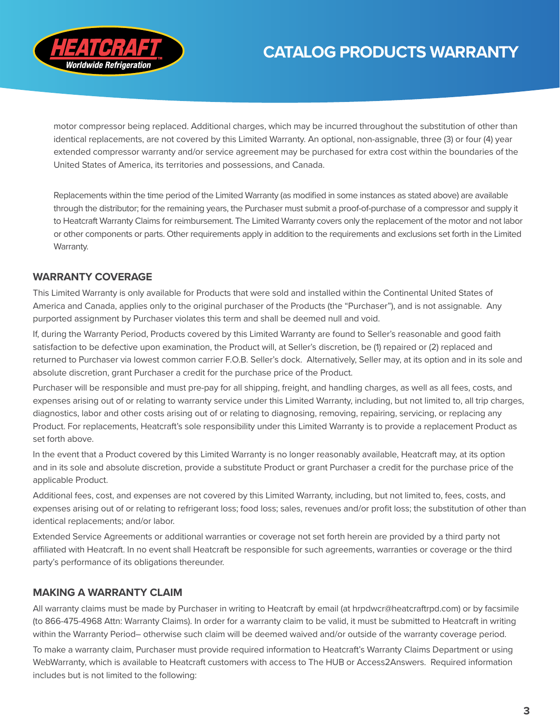

motor compressor being replaced. Additional charges, which may be incurred throughout the substitution of other than identical replacements, are not covered by this Limited Warranty. An optional, non-assignable, three (3) or four (4) year extended compressor warranty and/or service agreement may be purchased for extra cost within the boundaries of the United States of America, its territories and possessions, and Canada.

Replacements within the time period of the Limited Warranty (as modified in some instances as stated above) are available through the distributor; for the remaining years, the Purchaser must submit a proof-of-purchase of a compressor and supply it to Heatcraft Warranty Claims for reimbursement. The Limited Warranty covers only the replacement of the motor and not labor or other components or parts. Other requirements apply in addition to the requirements and exclusions set forth in the Limited Warranty.

## **WARRANTY COVERAGE**

This Limited Warranty is only available for Products that were sold and installed within the Continental United States of America and Canada, applies only to the original purchaser of the Products (the "Purchaser"), and is not assignable. Any purported assignment by Purchaser violates this term and shall be deemed null and void.

If, during the Warranty Period, Products covered by this Limited Warranty are found to Seller's reasonable and good faith satisfaction to be defective upon examination, the Product will, at Seller's discretion, be (1) repaired or (2) replaced and returned to Purchaser via lowest common carrier F.O.B. Seller's dock. Alternatively, Seller may, at its option and in its sole and absolute discretion, grant Purchaser a credit for the purchase price of the Product.

Purchaser will be responsible and must pre-pay for all shipping, freight, and handling charges, as well as all fees, costs, and expenses arising out of or relating to warranty service under this Limited Warranty, including, but not limited to, all trip charges, diagnostics, labor and other costs arising out of or relating to diagnosing, removing, repairing, servicing, or replacing any Product. For replacements, Heatcraft's sole responsibility under this Limited Warranty is to provide a replacement Product as set forth above.

In the event that a Product covered by this Limited Warranty is no longer reasonably available, Heatcraft may, at its option and in its sole and absolute discretion, provide a substitute Product or grant Purchaser a credit for the purchase price of the applicable Product.

Additional fees, cost, and expenses are not covered by this Limited Warranty, including, but not limited to, fees, costs, and expenses arising out of or relating to refrigerant loss; food loss; sales, revenues and/or profit loss; the substitution of other than identical replacements; and/or labor.

Extended Service Agreements or additional warranties or coverage not set forth herein are provided by a third party not affiliated with Heatcraft. In no event shall Heatcraft be responsible for such agreements, warranties or coverage or the third party's performance of its obligations thereunder.

## **MAKING A WARRANTY CLAIM**

All warranty claims must be made by Purchaser in writing to Heatcraft by email (at hrpdwcr@heatcraftrpd.com) or by facsimile (to 866-475-4968 Attn: Warranty Claims). In order for a warranty claim to be valid, it must be submitted to Heatcraft in writing within the Warranty Period– otherwise such claim will be deemed waived and/or outside of the warranty coverage period.

To make a warranty claim, Purchaser must provide required information to Heatcraft's Warranty Claims Department or using WebWarranty, which is available to Heatcraft customers with access to The HUB or Access2Answers. Required information includes but is not limited to the following: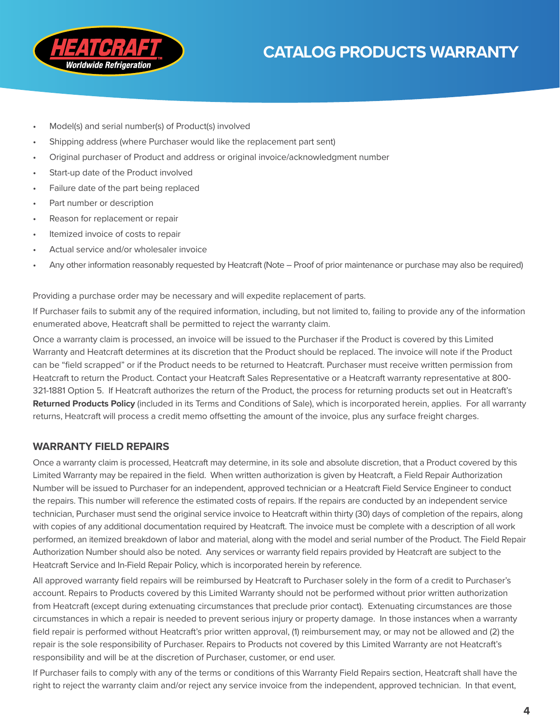

- Model(s) and serial number(s) of Product(s) involved
- Shipping address (where Purchaser would like the replacement part sent)
- Original purchaser of Product and address or original invoice/acknowledgment number
- Start-up date of the Product involved
- Failure date of the part being replaced
- Part number or description
- Reason for replacement or repair
- Itemized invoice of costs to repair
- Actual service and/or wholesaler invoice
- Any other information reasonably requested by Heatcraft (Note Proof of prior maintenance or purchase may also be required)

Providing a purchase order may be necessary and will expedite replacement of parts.

If Purchaser fails to submit any of the required information, including, but not limited to, failing to provide any of the information enumerated above, Heatcraft shall be permitted to reject the warranty claim.

Once a warranty claim is processed, an invoice will be issued to the Purchaser if the Product is covered by this Limited Warranty and Heatcraft determines at its discretion that the Product should be replaced. The invoice will note if the Product can be "field scrapped" or if the Product needs to be returned to Heatcraft. Purchaser must receive written permission from Heatcraft to return the Product. Contact your Heatcraft Sales Representative or a Heatcraft warranty representative at 800- 321-1881 Option 5. If Heatcraft authorizes the return of the Product, the process for returning products set out in Heatcraft's **Returned Products Policy** (included in its Terms and Conditions of Sale), which is incorporated herein, applies. For all warranty returns, Heatcraft will process a credit memo offsetting the amount of the invoice, plus any surface freight charges.

## **WARRANTY FIELD REPAIRS**

Once a warranty claim is processed, Heatcraft may determine, in its sole and absolute discretion, that a Product covered by this Limited Warranty may be repaired in the field. When written authorization is given by Heatcraft, a Field Repair Authorization Number will be issued to Purchaser for an independent, approved technician or a Heatcraft Field Service Engineer to conduct the repairs. This number will reference the estimated costs of repairs. If the repairs are conducted by an independent service technician, Purchaser must send the original service invoice to Heatcraft within thirty (30) days of completion of the repairs, along with copies of any additional documentation required by Heatcraft. The invoice must be complete with a description of all work performed, an itemized breakdown of labor and material, along with the model and serial number of the Product. The Field Repair Authorization Number should also be noted. Any services or warranty field repairs provided by Heatcraft are subject to the Heatcraft Service and In-Field Repair Policy, which is incorporated herein by reference.

All approved warranty field repairs will be reimbursed by Heatcraft to Purchaser solely in the form of a credit to Purchaser's account. Repairs to Products covered by this Limited Warranty should not be performed without prior written authorization from Heatcraft (except during extenuating circumstances that preclude prior contact). Extenuating circumstances are those circumstances in which a repair is needed to prevent serious injury or property damage. In those instances when a warranty field repair is performed without Heatcraft's prior written approval, (1) reimbursement may, or may not be allowed and (2) the repair is the sole responsibility of Purchaser. Repairs to Products not covered by this Limited Warranty are not Heatcraft's responsibility and will be at the discretion of Purchaser, customer, or end user.

If Purchaser fails to comply with any of the terms or conditions of this Warranty Field Repairs section, Heatcraft shall have the right to reject the warranty claim and/or reject any service invoice from the independent, approved technician. In that event,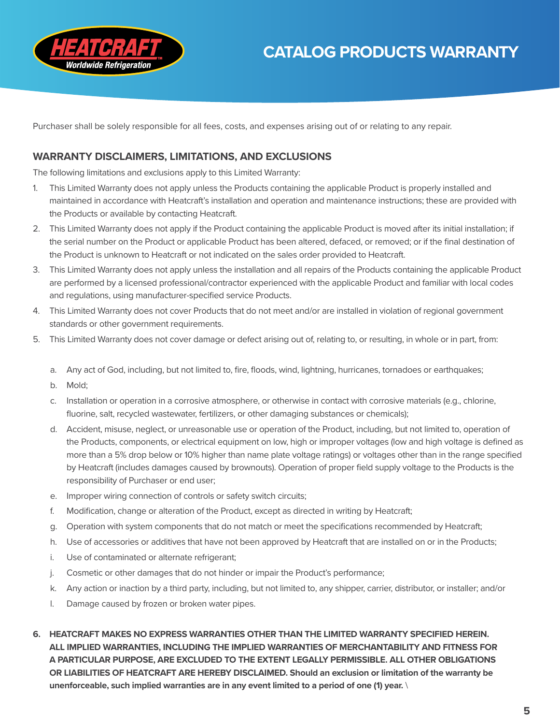



Purchaser shall be solely responsible for all fees, costs, and expenses arising out of or relating to any repair.

## **WARRANTY DISCLAIMERS, LIMITATIONS, AND EXCLUSIONS**

The following limitations and exclusions apply to this Limited Warranty:

- 1. This Limited Warranty does not apply unless the Products containing the applicable Product is properly installed and maintained in accordance with Heatcraft's installation and operation and maintenance instructions; these are provided with the Products or available by contacting Heatcraft.
- 2. This Limited Warranty does not apply if the Product containing the applicable Product is moved after its initial installation; if the serial number on the Product or applicable Product has been altered, defaced, or removed; or if the final destination of the Product is unknown to Heatcraft or not indicated on the sales order provided to Heatcraft.
- 3. This Limited Warranty does not apply unless the installation and all repairs of the Products containing the applicable Product are performed by a licensed professional/contractor experienced with the applicable Product and familiar with local codes and regulations, using manufacturer-specified service Products.
- 4. This Limited Warranty does not cover Products that do not meet and/or are installed in violation of regional government standards or other government requirements.
- 5. This Limited Warranty does not cover damage or defect arising out of, relating to, or resulting, in whole or in part, from:
	- a. Any act of God, including, but not limited to, fire, floods, wind, lightning, hurricanes, tornadoes or earthquakes;
	- b. Mold;
	- c. Installation or operation in a corrosive atmosphere, or otherwise in contact with corrosive materials (e.g., chlorine, fluorine, salt, recycled wastewater, fertilizers, or other damaging substances or chemicals);
	- d. Accident, misuse, neglect, or unreasonable use or operation of the Product, including, but not limited to, operation of the Products, components, or electrical equipment on low, high or improper voltages (low and high voltage is defined as more than a 5% drop below or 10% higher than name plate voltage ratings) or voltages other than in the range specified by Heatcraft (includes damages caused by brownouts). Operation of proper field supply voltage to the Products is the responsibility of Purchaser or end user;
	- e. Improper wiring connection of controls or safety switch circuits;
	- f. Modification, change or alteration of the Product, except as directed in writing by Heatcraft;
	- g. Operation with system components that do not match or meet the specifications recommended by Heatcraft;
	- h. Use of accessories or additives that have not been approved by Heatcraft that are installed on or in the Products;
	- i. Use of contaminated or alternate refrigerant;
	- j. Cosmetic or other damages that do not hinder or impair the Product's performance;
	- k. Any action or inaction by a third party, including, but not limited to, any shipper, carrier, distributor, or installer; and/or
	- l. Damage caused by frozen or broken water pipes.
- **6. HEATCRAFT MAKES NO EXPRESS WARRANTIES OTHER THAN THE LIMITED WARRANTY SPECIFIED HEREIN. ALL IMPLIED WARRANTIES, INCLUDING THE IMPLIED WARRANTIES OF MERCHANTABILITY AND FITNESS FOR A PARTICULAR PURPOSE, ARE EXCLUDED TO THE EXTENT LEGALLY PERMISSIBLE. ALL OTHER OBLIGATIONS OR LIABILITIES OF HEATCRAFT ARE HEREBY DISCLAIMED. Should an exclusion or limitation of the warranty be unenforceable, such implied warranties are in any event limited to a period of one (1) year.** \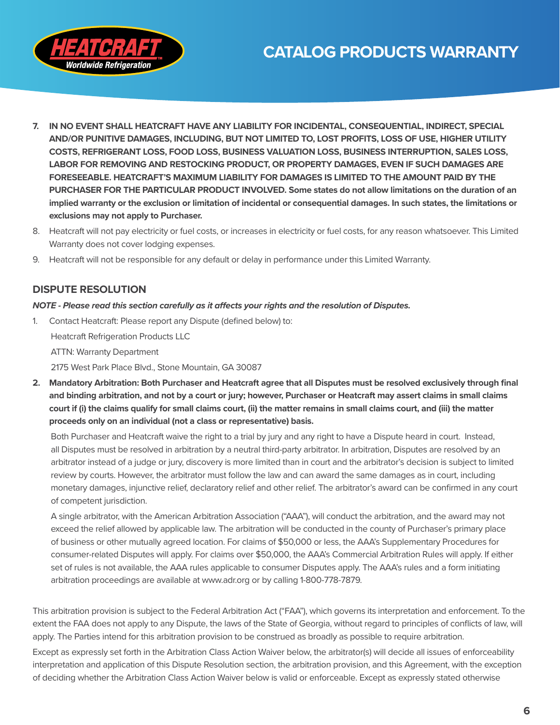

- **7. IN NO EVENT SHALL HEATCRAFT HAVE ANY LIABILITY FOR INCIDENTAL, CONSEQUENTIAL, INDIRECT, SPECIAL AND/OR PUNITIVE DAMAGES, INCLUDING, BUT NOT LIMITED TO, LOST PROFITS, LOSS OF USE, HIGHER UTILITY COSTS, REFRIGERANT LOSS, FOOD LOSS, BUSINESS VALUATION LOSS, BUSINESS INTERRUPTION, SALES LOSS, LABOR FOR REMOVING AND RESTOCKING PRODUCT, OR PROPERTY DAMAGES, EVEN IF SUCH DAMAGES ARE FORESEEABLE. HEATCRAFT'S MAXIMUM LIABILITY FOR DAMAGES IS LIMITED TO THE AMOUNT PAID BY THE PURCHASER FOR THE PARTICULAR PRODUCT INVOLVED. Some states do not allow limitations on the duration of an implied warranty or the exclusion or limitation of incidental or consequential damages. In such states, the limitations or exclusions may not apply to Purchaser.**
- 8. Heatcraft will not pay electricity or fuel costs, or increases in electricity or fuel costs, for any reason whatsoever. This Limited Warranty does not cover lodging expenses.
- 9. Heatcraft will not be responsible for any default or delay in performance under this Limited Warranty.

## **DISPUTE RESOLUTION**

#### *NOTE - Please read this section carefully as it affects your rights and the resolution of Disputes.*

1. Contact Heatcraft: Please report any Dispute (defined below) to:

Heatcraft Refrigeration Products LLC

ATTN: Warranty Department

2175 West Park Place Blvd., Stone Mountain, GA 30087

**2. Mandatory Arbitration: Both Purchaser and Heatcraft agree that all Disputes must be resolved exclusively through final and binding arbitration, and not by a court or jury; however, Purchaser or Heatcraft may assert claims in small claims court if (i) the claims qualify for small claims court, (ii) the matter remains in small claims court, and (iii) the matter proceeds only on an individual (not a class or representative) basis.**

Both Purchaser and Heatcraft waive the right to a trial by jury and any right to have a Dispute heard in court. Instead, all Disputes must be resolved in arbitration by a neutral third-party arbitrator. In arbitration, Disputes are resolved by an arbitrator instead of a judge or jury, discovery is more limited than in court and the arbitrator's decision is subject to limited review by courts. However, the arbitrator must follow the law and can award the same damages as in court, including monetary damages, injunctive relief, declaratory relief and other relief. The arbitrator's award can be confirmed in any court of competent jurisdiction.

A single arbitrator, with the American Arbitration Association ("AAA"), will conduct the arbitration, and the award may not exceed the relief allowed by applicable law. The arbitration will be conducted in the county of Purchaser's primary place of business or other mutually agreed location. For claims of \$50,000 or less, the AAA's Supplementary Procedures for consumer-related Disputes will apply. For claims over \$50,000, the AAA's Commercial Arbitration Rules will apply. If either set of rules is not available, the AAA rules applicable to consumer Disputes apply. The AAA's rules and a form initiating arbitration proceedings are available at www.adr.org or by calling 1-800-778-7879.

This arbitration provision is subject to the Federal Arbitration Act ("FAA"), which governs its interpretation and enforcement. To the extent the FAA does not apply to any Dispute, the laws of the State of Georgia, without regard to principles of conflicts of law, will apply. The Parties intend for this arbitration provision to be construed as broadly as possible to require arbitration.

Except as expressly set forth in the Arbitration Class Action Waiver below, the arbitrator(s) will decide all issues of enforceability interpretation and application of this Dispute Resolution section, the arbitration provision, and this Agreement, with the exception of deciding whether the Arbitration Class Action Waiver below is valid or enforceable. Except as expressly stated otherwise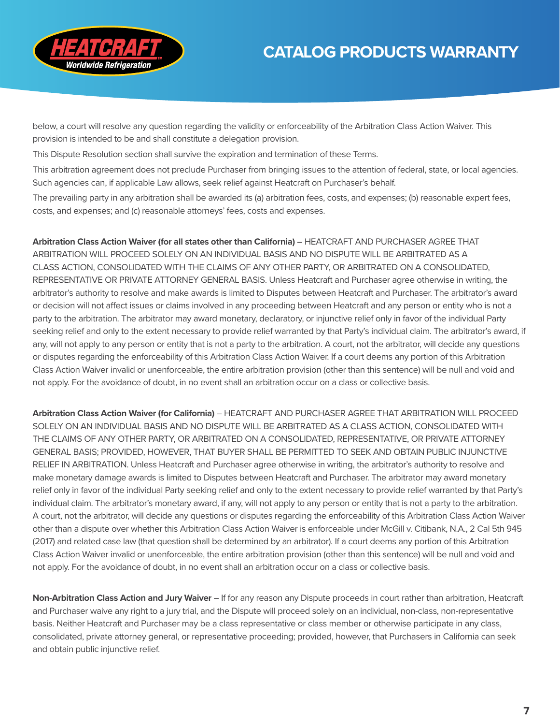

below, a court will resolve any question regarding the validity or enforceability of the Arbitration Class Action Waiver. This provision is intended to be and shall constitute a delegation provision.

This Dispute Resolution section shall survive the expiration and termination of these Terms.

This arbitration agreement does not preclude Purchaser from bringing issues to the attention of federal, state, or local agencies. Such agencies can, if applicable Law allows, seek relief against Heatcraft on Purchaser's behalf.

The prevailing party in any arbitration shall be awarded its (a) arbitration fees, costs, and expenses; (b) reasonable expert fees, costs, and expenses; and (c) reasonable attorneys' fees, costs and expenses.

**Arbitration Class Action Waiver (for all states other than California)** – HEATCRAFT AND PURCHASER AGREE THAT ARBITRATION WILL PROCEED SOLELY ON AN INDIVIDUAL BASIS AND NO DISPUTE WILL BE ARBITRATED AS A CLASS ACTION, CONSOLIDATED WITH THE CLAIMS OF ANY OTHER PARTY, OR ARBITRATED ON A CONSOLIDATED, REPRESENTATIVE OR PRIVATE ATTORNEY GENERAL BASIS. Unless Heatcraft and Purchaser agree otherwise in writing, the arbitrator's authority to resolve and make awards is limited to Disputes between Heatcraft and Purchaser. The arbitrator's award or decision will not affect issues or claims involved in any proceeding between Heatcraft and any person or entity who is not a party to the arbitration. The arbitrator may award monetary, declaratory, or injunctive relief only in favor of the individual Party seeking relief and only to the extent necessary to provide relief warranted by that Party's individual claim. The arbitrator's award, if any, will not apply to any person or entity that is not a party to the arbitration. A court, not the arbitrator, will decide any questions or disputes regarding the enforceability of this Arbitration Class Action Waiver. If a court deems any portion of this Arbitration Class Action Waiver invalid or unenforceable, the entire arbitration provision (other than this sentence) will be null and void and not apply. For the avoidance of doubt, in no event shall an arbitration occur on a class or collective basis.

**Arbitration Class Action Waiver (for California)** – HEATCRAFT AND PURCHASER AGREE THAT ARBITRATION WILL PROCEED SOLELY ON AN INDIVIDUAL BASIS AND NO DISPUTE WILL BE ARBITRATED AS A CLASS ACTION, CONSOLIDATED WITH THE CLAIMS OF ANY OTHER PARTY, OR ARBITRATED ON A CONSOLIDATED, REPRESENTATIVE, OR PRIVATE ATTORNEY GENERAL BASIS; PROVIDED, HOWEVER, THAT BUYER SHALL BE PERMITTED TO SEEK AND OBTAIN PUBLIC INJUNCTIVE RELIEF IN ARBITRATION. Unless Heatcraft and Purchaser agree otherwise in writing, the arbitrator's authority to resolve and make monetary damage awards is limited to Disputes between Heatcraft and Purchaser. The arbitrator may award monetary relief only in favor of the individual Party seeking relief and only to the extent necessary to provide relief warranted by that Party's individual claim. The arbitrator's monetary award, if any, will not apply to any person or entity that is not a party to the arbitration. A court, not the arbitrator, will decide any questions or disputes regarding the enforceability of this Arbitration Class Action Waiver other than a dispute over whether this Arbitration Class Action Waiver is enforceable under McGill v. Citibank, N.A., 2 Cal 5th 945 (2017) and related case law (that question shall be determined by an arbitrator). If a court deems any portion of this Arbitration Class Action Waiver invalid or unenforceable, the entire arbitration provision (other than this sentence) will be null and void and not apply. For the avoidance of doubt, in no event shall an arbitration occur on a class or collective basis.

**Non-Arbitration Class Action and Jury Waiver** – If for any reason any Dispute proceeds in court rather than arbitration, Heatcraft and Purchaser waive any right to a jury trial, and the Dispute will proceed solely on an individual, non-class, non-representative basis. Neither Heatcraft and Purchaser may be a class representative or class member or otherwise participate in any class, consolidated, private attorney general, or representative proceeding; provided, however, that Purchasers in California can seek and obtain public injunctive relief.